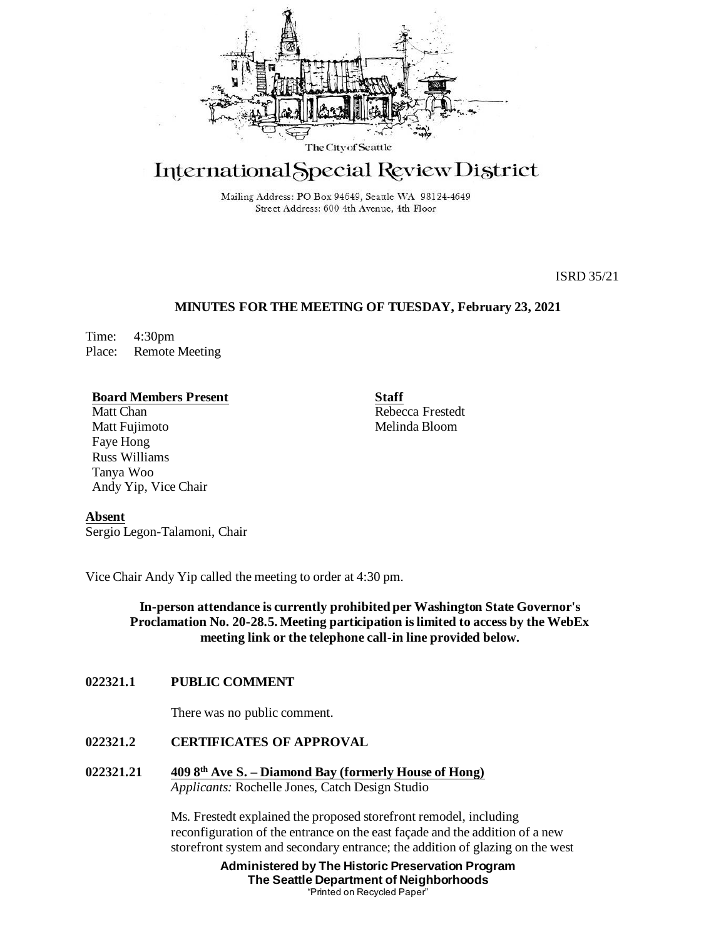

# International Special Review District

Mailing Address: PO Box 94649, Seattle WA 98124-4649 Street Address: 600 4th Avenue, 4th Floor

ISRD 35/21

# **MINUTES FOR THE MEETING OF TUESDAY, February 23, 2021**

Time: 4:30pm Place: Remote Meeting

## **Board Members Present**

Matt Chan Matt Fujimoto Faye Hong Russ Williams Tanya Woo Andy Yip, Vice Chair **Staff** Rebecca Frestedt Melinda Bloom

**Absent**

Sergio Legon-Talamoni, Chair

Vice Chair Andy Yip called the meeting to order at 4:30 pm.

**In-person attendance is currently prohibited per Washington State Governor's Proclamation No. 20-28.5. Meeting participation is limited to access by the WebEx meeting link or the telephone call-in line provided below.**

# **022321.1 PUBLIC COMMENT**

There was no public comment.

**022321.2 CERTIFICATES OF APPROVAL**

**022321.21 409 8th Ave S. – Diamond Bay (formerly House of Hong)** *Applicants:* Rochelle Jones, Catch Design Studio

> Ms. Frestedt explained the proposed storefront remodel, including reconfiguration of the entrance on the east façade and the addition of a new storefront system and secondary entrance; the addition of glazing on the west

> > **Administered by The Historic Preservation Program The Seattle Department of Neighborhoods** "Printed on Recycled Paper"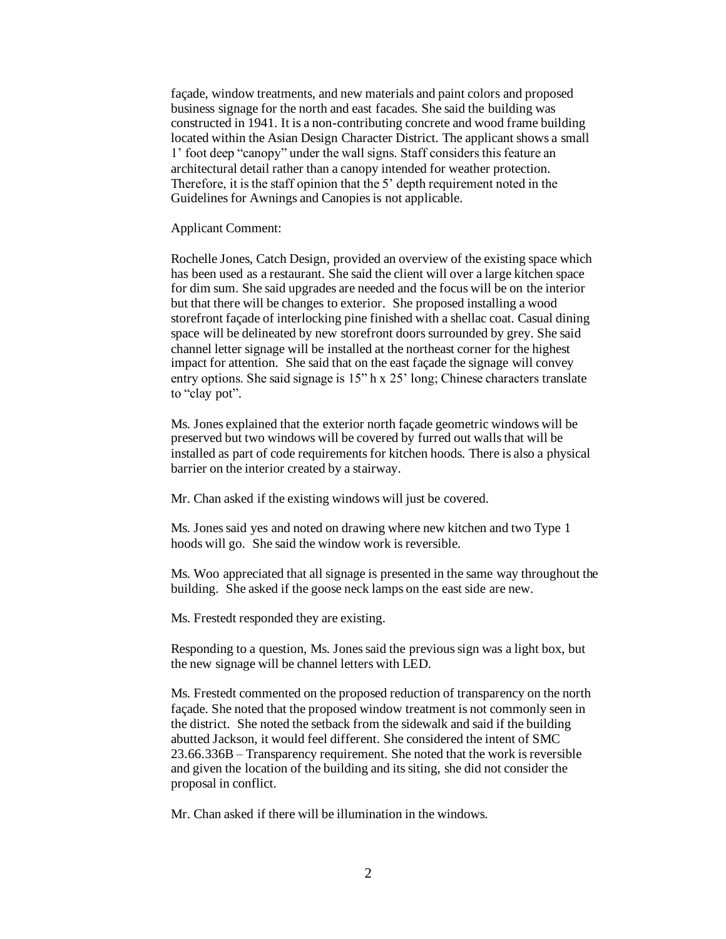façade, window treatments, and new materials and paint colors and proposed business signage for the north and east facades. She said the building was constructed in 1941. It is a non-contributing concrete and wood frame building located within the Asian Design Character District. The applicant shows a small 1' foot deep "canopy" under the wall signs. Staff considers this feature an architectural detail rather than a canopy intended for weather protection. Therefore, it is the staff opinion that the 5' depth requirement noted in the Guidelines for Awnings and Canopies is not applicable.

Applicant Comment:

Rochelle Jones, Catch Design, provided an overview of the existing space which has been used as a restaurant. She said the client will over a large kitchen space for dim sum. She said upgrades are needed and the focus will be on the interior but that there will be changes to exterior. She proposed installing a wood storefront façade of interlocking pine finished with a shellac coat. Casual dining space will be delineated by new storefront doors surrounded by grey. She said channel letter signage will be installed at the northeast corner for the highest impact for attention. She said that on the east façade the signage will convey entry options. She said signage is 15" h x 25' long; Chinese characters translate to "clay pot".

Ms. Jones explained that the exterior north façade geometric windows will be preserved but two windows will be covered by furred out walls that will be installed as part of code requirements for kitchen hoods. There is also a physical barrier on the interior created by a stairway.

Mr. Chan asked if the existing windows will just be covered.

Ms. Jones said yes and noted on drawing where new kitchen and two Type 1 hoods will go. She said the window work is reversible.

Ms. Woo appreciated that all signage is presented in the same way throughout the building. She asked if the goose neck lamps on the east side are new.

Ms. Frestedt responded they are existing.

Responding to a question, Ms. Jones said the previous sign was a light box, but the new signage will be channel letters with LED.

Ms. Frestedt commented on the proposed reduction of transparency on the north façade. She noted that the proposed window treatment is not commonly seen in the district. She noted the setback from the sidewalk and said if the building abutted Jackson, it would feel different. She considered the intent of SMC 23.66.336B – Transparency requirement. She noted that the work is reversible and given the location of the building and its siting, she did not consider the proposal in conflict.

Mr. Chan asked if there will be illumination in the windows.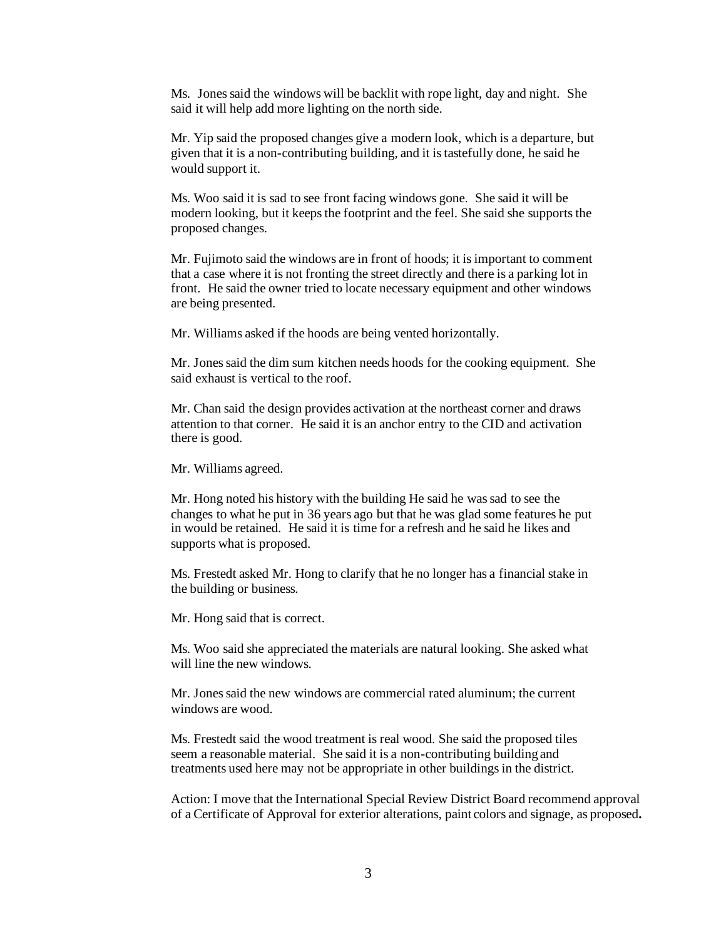Ms. Jones said the windows will be backlit with rope light, day and night. She said it will help add more lighting on the north side.

Mr. Yip said the proposed changes give a modern look, which is a departure, but given that it is a non-contributing building, and it is tastefully done, he said he would support it.

Ms. Woo said it is sad to see front facing windows gone. She said it will be modern looking, but it keeps the footprint and the feel. She said she supports the proposed changes.

Mr. Fujimoto said the windows are in front of hoods; it is important to comment that a case where it is not fronting the street directly and there is a parking lot in front. He said the owner tried to locate necessary equipment and other windows are being presented.

Mr. Williams asked if the hoods are being vented horizontally.

Mr. Jones said the dim sum kitchen needs hoods for the cooking equipment. She said exhaust is vertical to the roof.

Mr. Chan said the design provides activation at the northeast corner and draws attention to that corner. He said it is an anchor entry to the CID and activation there is good.

Mr. Williams agreed.

Mr. Hong noted his history with the building He said he was sad to see the changes to what he put in 36 years ago but that he was glad some features he put in would be retained. He said it is time for a refresh and he said he likes and supports what is proposed.

Ms. Frestedt asked Mr. Hong to clarify that he no longer has a financial stake in the building or business.

Mr. Hong said that is correct.

Ms. Woo said she appreciated the materials are natural looking. She asked what will line the new windows.

Mr. Jones said the new windows are commercial rated aluminum; the current windows are wood.

Ms. Frestedt said the wood treatment is real wood. She said the proposed tiles seem a reasonable material. She said it is a non-contributing building and treatments used here may not be appropriate in other buildings in the district.

Action: I move that the International Special Review District Board recommend approval of a Certificate of Approval for exterior alterations, paint colors and signage, as proposed*.*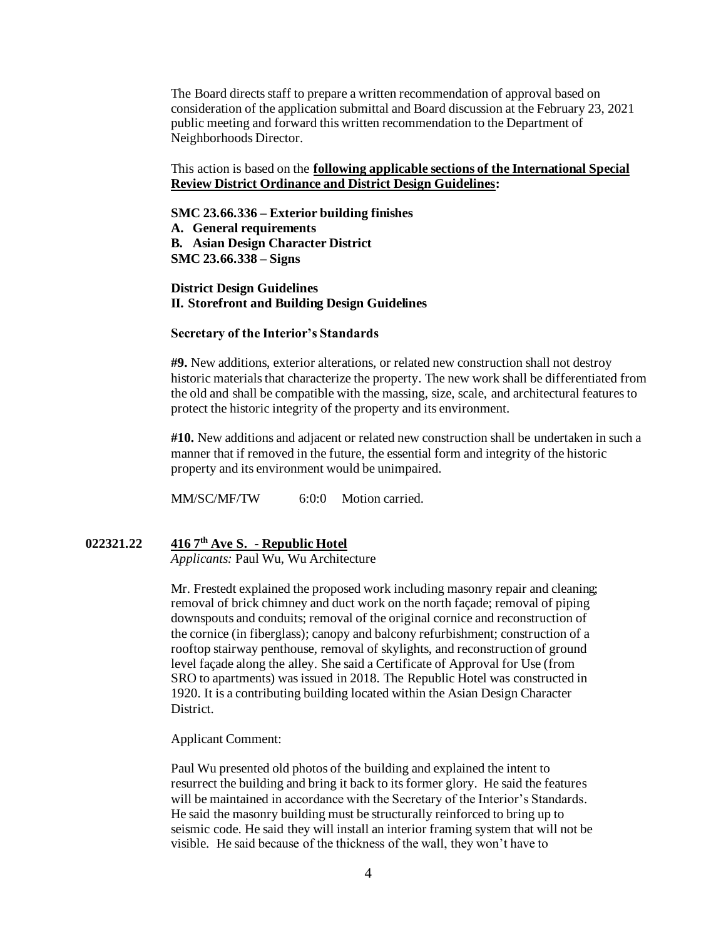The Board directs staff to prepare a written recommendation of approval based on consideration of the application submittal and Board discussion at the February 23, 2021 public meeting and forward this written recommendation to the Department of Neighborhoods Director.

# This action is based on the **following applicable sections of the International Special Review District Ordinance and District Design Guidelines:**

#### **SMC 23.66.336 – Exterior building finishes**

**A. General requirements B. Asian Design Character District SMC 23.66.338 – Signs**

**District Design Guidelines II. Storefront and Building Design Guidelines**

#### **Secretary of the Interior's Standards**

**#9.** New additions, exterior alterations, or related new construction shall not destroy historic materials that characterize the property. The new work shall be differentiated from the old and shall be compatible with the massing, size, scale, and architectural features to protect the historic integrity of the property and its environment.

**#10.** New additions and adjacent or related new construction shall be undertaken in such a manner that if removed in the future, the essential form and integrity of the historic property and its environment would be unimpaired.

MM/SC/MF/TW 6:0:0 Motion carried.

# **022321.22 416 7th Ave S. - Republic Hotel**

*Applicants:* Paul Wu, Wu Architecture

Mr. Frestedt explained the proposed work including masonry repair and cleaning; removal of brick chimney and duct work on the north façade; removal of piping downspouts and conduits; removal of the original cornice and reconstruction of the cornice (in fiberglass); canopy and balcony refurbishment; construction of a rooftop stairway penthouse, removal of skylights, and reconstruction of ground level façade along the alley. She said a Certificate of Approval for Use (from SRO to apartments) was issued in 2018. The Republic Hotel was constructed in 1920. It is a contributing building located within the Asian Design Character District.

Applicant Comment:

Paul Wu presented old photos of the building and explained the intent to resurrect the building and bring it back to its former glory. He said the features will be maintained in accordance with the Secretary of the Interior's Standards. He said the masonry building must be structurally reinforced to bring up to seismic code. He said they will install an interior framing system that will not be visible. He said because of the thickness of the wall, they won't have to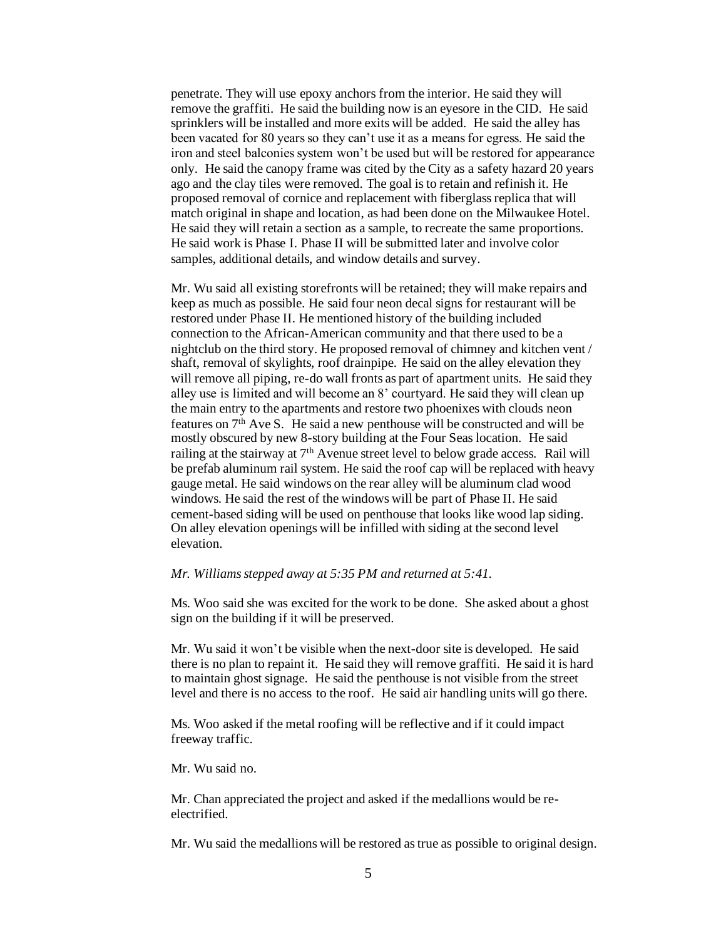penetrate. They will use epoxy anchors from the interior. He said they will remove the graffiti. He said the building now is an eyesore in the CID. He said sprinklers will be installed and more exits will be added. He said the alley has been vacated for 80 years so they can't use it as a means for egress. He said the iron and steel balconies system won't be used but will be restored for appearance only. He said the canopy frame was cited by the City as a safety hazard 20 years ago and the clay tiles were removed. The goal is to retain and refinish it. He proposed removal of cornice and replacement with fiberglass replica that will match original in shape and location, as had been done on the Milwaukee Hotel. He said they will retain a section as a sample, to recreate the same proportions. He said work is Phase I. Phase II will be submitted later and involve color samples, additional details, and window details and survey.

Mr. Wu said all existing storefronts will be retained; they will make repairs and keep as much as possible. He said four neon decal signs for restaurant will be restored under Phase II. He mentioned history of the building included connection to the African-American community and that there used to be a nightclub on the third story. He proposed removal of chimney and kitchen vent / shaft, removal of skylights, roof drainpipe. He said on the alley elevation they will remove all piping, re-do wall fronts as part of apartment units. He said they alley use is limited and will become an 8' courtyard. He said they will clean up the main entry to the apartments and restore two phoenixes with clouds neon features on 7th Ave S. He said a new penthouse will be constructed and will be mostly obscured by new 8-story building at the Four Seaslocation. He said railing at the stairway at 7th Avenue street level to below grade access. Rail will be prefab aluminum rail system. He said the roof cap will be replaced with heavy gauge metal. He said windows on the rear alley will be aluminum clad wood windows. He said the rest of the windows will be part of Phase II. He said cement-based siding will be used on penthouse that looks like wood lap siding. On alley elevation openings will be infilled with siding at the second level elevation.

# *Mr. Williams stepped away at 5:35 PM and returned at 5:41.*

Ms. Woo said she was excited for the work to be done. She asked about a ghost sign on the building if it will be preserved.

Mr. Wu said it won't be visible when the next-door site is developed. He said there is no plan to repaint it. He said they will remove graffiti. He said it is hard to maintain ghost signage. He said the penthouse is not visible from the street level and there is no access to the roof. He said air handling units will go there.

Ms. Woo asked if the metal roofing will be reflective and if it could impact freeway traffic.

Mr. Wu said no.

Mr. Chan appreciated the project and asked if the medallions would be reelectrified.

Mr. Wu said the medallions will be restored as true as possible to original design.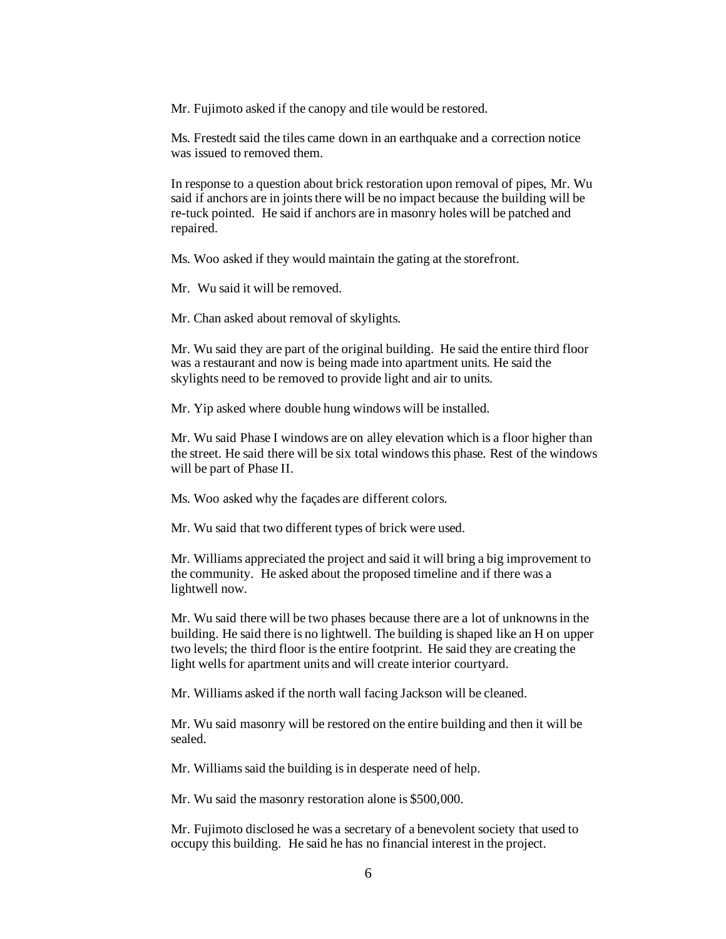Mr. Fujimoto asked if the canopy and tile would be restored.

Ms. Frestedt said the tiles came down in an earthquake and a correction notice was issued to removed them.

In response to a question about brick restoration upon removal of pipes, Mr. Wu said if anchors are in joints there will be no impact because the building will be re-tuck pointed. He said if anchors are in masonry holes will be patched and repaired.

Ms. Woo asked if they would maintain the gating at the storefront.

Mr. Wu said it will be removed.

Mr. Chan asked about removal of skylights.

Mr. Wu said they are part of the original building. He said the entire third floor was a restaurant and now is being made into apartment units. He said the skylights need to be removed to provide light and air to units.

Mr. Yip asked where double hung windows will be installed.

Mr. Wu said Phase I windows are on alley elevation which is a floor higher than the street. He said there will be six total windows this phase. Rest of the windows will be part of Phase II.

Ms. Woo asked why the façades are different colors.

Mr. Wu said that two different types of brick were used.

Mr. Williams appreciated the project and said it will bring a big improvement to the community. He asked about the proposed timeline and if there was a lightwell now.

Mr. Wu said there will be two phases because there are a lot of unknowns in the building. He said there is no lightwell. The building is shaped like an H on upper two levels; the third floor is the entire footprint. He said they are creating the light wells for apartment units and will create interior courtyard.

Mr. Williams asked if the north wall facing Jackson will be cleaned.

Mr. Wu said masonry will be restored on the entire building and then it will be sealed.

Mr. Williams said the building is in desperate need of help.

Mr. Wu said the masonry restoration alone is \$500,000.

Mr. Fujimoto disclosed he was a secretary of a benevolent society that used to occupy this building. He said he has no financial interest in the project.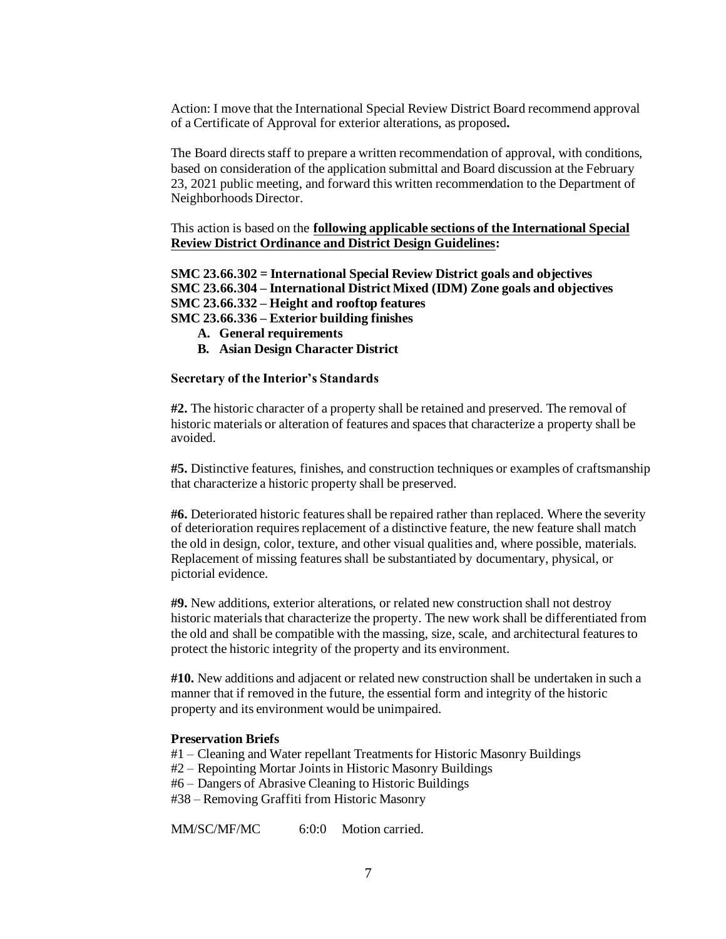Action: I move that the International Special Review District Board recommend approval of a Certificate of Approval for exterior alterations, as proposed*.*

The Board directs staff to prepare a written recommendation of approval, with conditions, based on consideration of the application submittal and Board discussion at the February 23, 2021 public meeting, and forward this written recommendation to the Department of Neighborhoods Director.

This action is based on the **following applicable sections of the International Special Review District Ordinance and District Design Guidelines:** 

**SMC 23.66.302 = International Special Review District goals and objectives SMC 23.66.304 – International District Mixed (IDM) Zone goals and objectives SMC 23.66.332 – Height and rooftop features SMC 23.66.336 – Exterior building finishes**

- **A. General requirements**
- **B. Asian Design Character District**

# **Secretary of the Interior's Standards**

**#2.** The historic character of a property shall be retained and preserved. The removal of historic materials or alteration of features and spaces that characterize a property shall be avoided.

**#5.** Distinctive features, finishes, and construction techniques or examples of craftsmanship that characterize a historic property shall be preserved.

**#6.** Deteriorated historic features shall be repaired rather than replaced. Where the severity of deterioration requires replacement of a distinctive feature, the new feature shall match the old in design, color, texture, and other visual qualities and, where possible, materials. Replacement of missing features shall be substantiated by documentary, physical, or pictorial evidence.

**#9.** New additions, exterior alterations, or related new construction shall not destroy historic materials that characterize the property. The new work shall be differentiated from the old and shall be compatible with the massing, size, scale, and architectural features to protect the historic integrity of the property and its environment.

**#10.** New additions and adjacent or related new construction shall be undertaken in such a manner that if removed in the future, the essential form and integrity of the historic property and its environment would be unimpaired.

## **Preservation Briefs**

#1 – Cleaning and Water repellant Treatments for Historic Masonry Buildings

#2 – Repointing Mortar Joints in Historic Masonry Buildings

#6 – Dangers of Abrasive Cleaning to Historic Buildings

#38 – Removing Graffiti from Historic Masonry

MM/SC/MF/MC 6:0:0 Motion carried.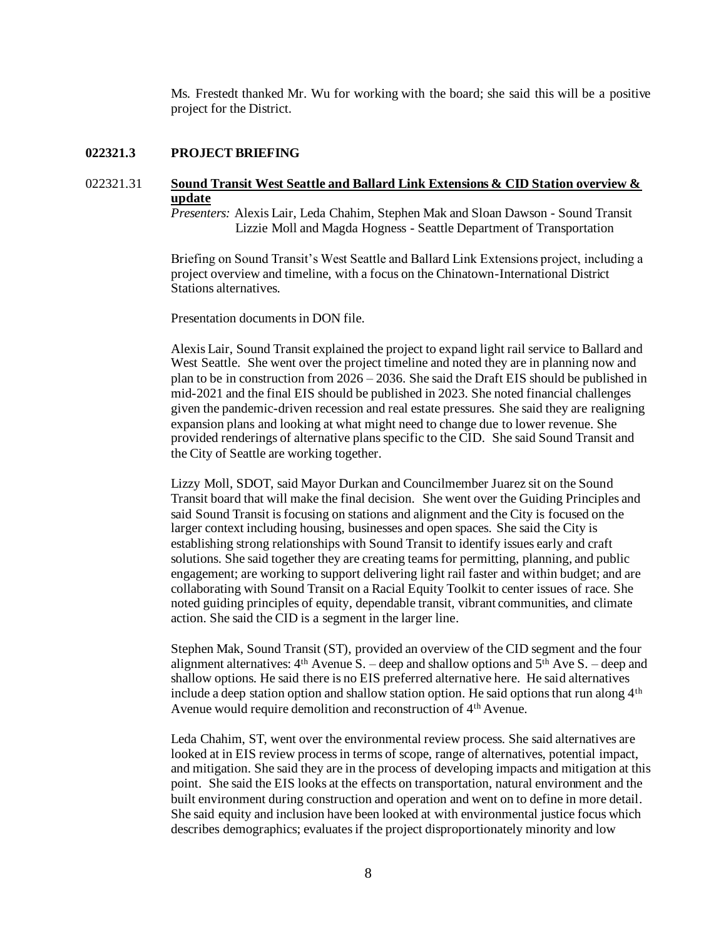Ms. Frestedt thanked Mr. Wu for working with the board; she said this will be a positive project for the District.

### **022321.3 PROJECT BRIEFING**

# 022321.31 **Sound Transit West Seattle and Ballard Link Extensions & CID Station overview & update**

*Presenters:* Alexis Lair, Leda Chahim, Stephen Mak and Sloan Dawson - Sound Transit Lizzie Moll and Magda Hogness - Seattle Department of Transportation

Briefing on Sound Transit's West Seattle and Ballard Link Extensions project, including a project overview and timeline, with a focus on the Chinatown-International District Stations alternatives.

Presentation documents in DON file.

Alexis Lair, Sound Transit explained the project to expand light rail service to Ballard and West Seattle. She went over the project timeline and noted they are in planning now and plan to be in construction from 2026 – 2036. She said the Draft EIS should be published in mid-2021 and the final EIS should be published in 2023. She noted financial challenges given the pandemic-driven recession and real estate pressures. She said they are realigning expansion plans and looking at what might need to change due to lower revenue. She provided renderings of alternative plans specific to the CID. She said Sound Transit and the City of Seattle are working together.

Lizzy Moll, SDOT, said Mayor Durkan and Councilmember Juarez sit on the Sound Transit board that will make the final decision. She went over the Guiding Principles and said Sound Transit is focusing on stations and alignment and the City is focused on the larger context including housing, businesses and open spaces. She said the City is establishing strong relationships with Sound Transit to identify issues early and craft solutions. She said together they are creating teams for permitting, planning, and public engagement; are working to support delivering light rail faster and within budget; and are collaborating with Sound Transit on a Racial Equity Toolkit to center issues of race. She noted guiding principles of equity, dependable transit, vibrant communities, and climate action. She said the CID is a segment in the larger line.

Stephen Mak, Sound Transit (ST), provided an overview of the CID segment and the four alignment alternatives:  $4<sup>th</sup>$  Avenue S. – deep and shallow options and  $5<sup>th</sup>$  Ave S. – deep and shallow options. He said there is no EIS preferred alternative here. He said alternatives include a deep station option and shallow station option. He said options that run along  $4<sup>th</sup>$ Avenue would require demolition and reconstruction of 4<sup>th</sup> Avenue.

Leda Chahim, ST, went over the environmental review process. She said alternatives are looked at in EIS review process in terms of scope, range of alternatives, potential impact, and mitigation. She said they are in the process of developing impacts and mitigation at this point. She said the EIS looks at the effects on transportation, natural environment and the built environment during construction and operation and went on to define in more detail. She said equity and inclusion have been looked at with environmental justice focus which describes demographics; evaluates if the project disproportionately minority and low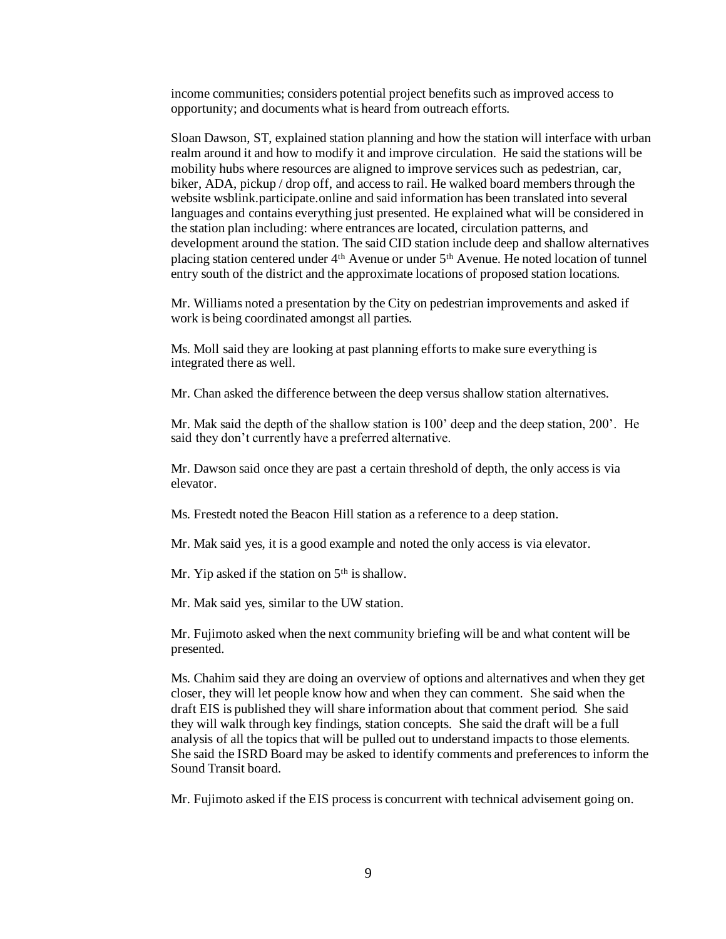income communities; considers potential project benefits such as improved access to opportunity; and documents what is heard from outreach efforts.

Sloan Dawson, ST, explained station planning and how the station will interface with urban realm around it and how to modify it and improve circulation. He said the stations will be mobility hubs where resources are aligned to improve services such as pedestrian, car, biker, ADA, pickup / drop off, and access to rail. He walked board members through the website wsblink.participate.online and said information has been translated into several languages and contains everything just presented. He explained what will be considered in the station plan including: where entrances are located, circulation patterns, and development around the station. The said CID station include deep and shallow alternatives placing station centered under 4th Avenue or under 5th Avenue. He noted location of tunnel entry south of the district and the approximate locations of proposed station locations.

Mr. Williams noted a presentation by the City on pedestrian improvements and asked if work is being coordinated amongst all parties.

Ms. Moll said they are looking at past planning efforts to make sure everything is integrated there as well.

Mr. Chan asked the difference between the deep versus shallow station alternatives.

Mr. Mak said the depth of the shallow station is 100' deep and the deep station, 200'. He said they don't currently have a preferred alternative.

Mr. Dawson said once they are past a certain threshold of depth, the only access is via elevator.

Ms. Frestedt noted the Beacon Hill station as a reference to a deep station.

Mr. Mak said yes, it is a good example and noted the only access is via elevator.

Mr. Yip asked if the station on  $5<sup>th</sup>$  is shallow.

Mr. Mak said yes, similar to the UW station.

Mr. Fujimoto asked when the next community briefing will be and what content will be presented.

Ms. Chahim said they are doing an overview of options and alternatives and when they get closer, they will let people know how and when they can comment. She said when the draft EIS is published they will share information about that comment period. She said they will walk through key findings, station concepts. She said the draft will be a full analysis of all the topics that will be pulled out to understand impacts to those elements. She said the ISRD Board may be asked to identify comments and preferences to inform the Sound Transit board.

Mr. Fujimoto asked if the EIS process is concurrent with technical advisement going on.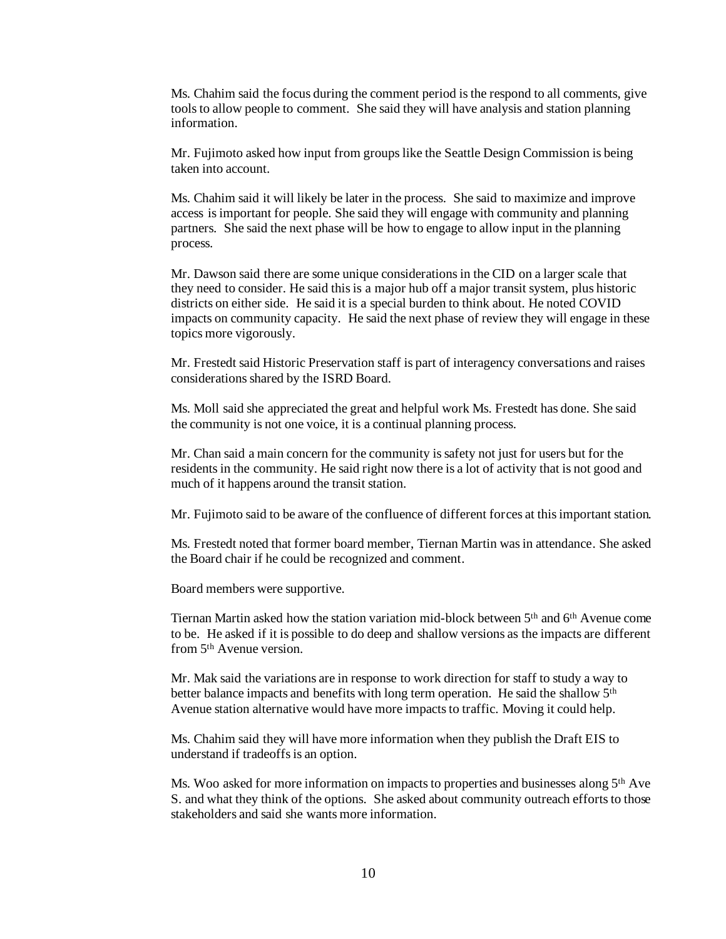Ms. Chahim said the focus during the comment period is the respond to all comments, give tools to allow people to comment. She said they will have analysis and station planning information.

Mr. Fujimoto asked how input from groups like the Seattle Design Commission is being taken into account.

Ms. Chahim said it will likely be later in the process. She said to maximize and improve access is important for people. She said they will engage with community and planning partners. She said the next phase will be how to engage to allow input in the planning process.

Mr. Dawson said there are some unique considerations in the CID on a larger scale that they need to consider. He said this is a major hub off a major transit system, plus historic districts on either side. He said it is a special burden to think about. He noted COVID impacts on community capacity. He said the next phase of review they will engage in these topics more vigorously.

Mr. Frestedt said Historic Preservation staff is part of interagency conversations and raises considerations shared by the ISRD Board.

Ms. Moll said she appreciated the great and helpful work Ms. Frestedt has done. She said the community is not one voice, it is a continual planning process.

Mr. Chan said a main concern for the community is safety not just for users but for the residents in the community. He said right now there is a lot of activity that is not good and much of it happens around the transit station.

Mr. Fujimoto said to be aware of the confluence of different forces at this important station.

Ms. Frestedt noted that former board member, Tiernan Martin was in attendance. She asked the Board chair if he could be recognized and comment.

Board members were supportive.

Tiernan Martin asked how the station variation mid-block between 5th and 6th Avenue come to be. He asked if it is possible to do deep and shallow versions as the impacts are different from 5th Avenue version.

Mr. Mak said the variations are in response to work direction for staff to study a way to better balance impacts and benefits with long term operation. He said the shallow 5<sup>th</sup> Avenue station alternative would have more impacts to traffic. Moving it could help.

Ms. Chahim said they will have more information when they publish the Draft EIS to understand if tradeoffs is an option.

Ms. Woo asked for more information on impacts to properties and businesses along 5th Ave S. and what they think of the options. She asked about community outreach efforts to those stakeholders and said she wants more information.